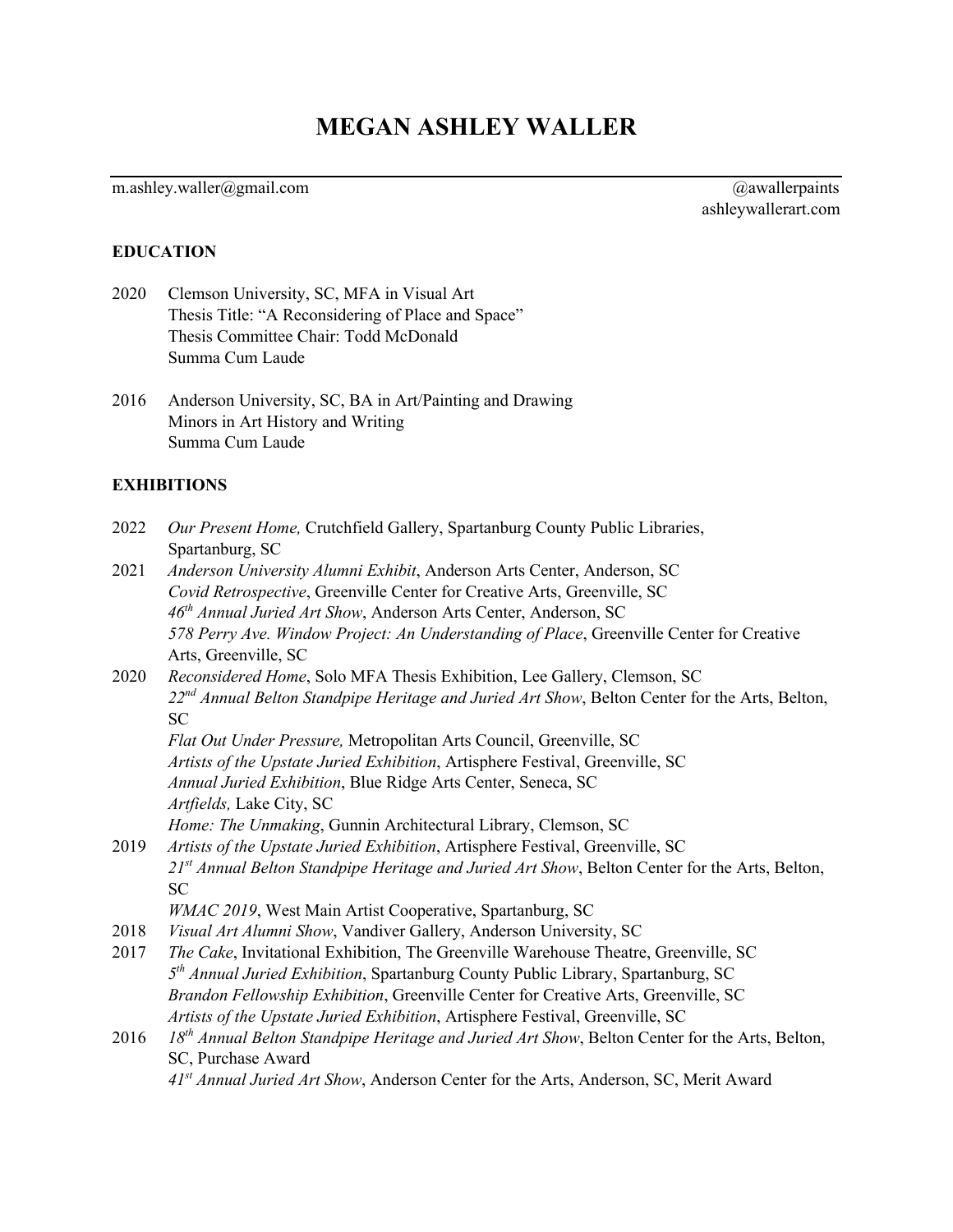# **MEGAN ASHLEY WALLER**

# m.ashley.waller@gmail.com @awallerpaints @awallerpaints

ashleywallerart.com

#### **EDUCATION**

- 2020 Clemson University, SC, MFA in Visual Art Thesis Title: "A Reconsidering of Place and Space" Thesis Committee Chair: Todd McDonald Summa Cum Laude
- 2016 Anderson University, SC, BA in Art/Painting and Drawing Minors in Art History and Writing Summa Cum Laude

#### **EXHIBITIONS**

- 2022 *Our Present Home,* Crutchfield Gallery, Spartanburg County Public Libraries, Spartanburg, SC
- 2021 *Anderson University Alumni Exhibit*, Anderson Arts Center, Anderson, SC *Covid Retrospective*, Greenville Center for Creative Arts, Greenville, SC *46th Annual Juried Art Show*, Anderson Arts Center, Anderson, SC *578 Perry Ave. Window Project: An Understanding of Place*, Greenville Center for Creative Arts, Greenville, SC
- 2020 *Reconsidered Home*, Solo MFA Thesis Exhibition, Lee Gallery, Clemson, SC *22nd Annual Belton Standpipe Heritage and Juried Art Show*, Belton Center for the Arts, Belton, SC

*Flat Out Under Pressure,* Metropolitan Arts Council, Greenville, SC *Artists of the Upstate Juried Exhibition*, Artisphere Festival, Greenville, SC *Annual Juried Exhibition*, Blue Ridge Arts Center, Seneca, SC *Artfields,* Lake City, SC *Home: The Unmaking*, Gunnin Architectural Library, Clemson, SC

2019 *Artists of the Upstate Juried Exhibition*, Artisphere Festival, Greenville, SC *21st Annual Belton Standpipe Heritage and Juried Art Show*, Belton Center for the Arts, Belton, SC

*WMAC 2019*, West Main Artist Cooperative, Spartanburg, SC

- 2018 *Visual Art Alumni Show*, Vandiver Gallery, Anderson University, SC
- 2017 *The Cake*, Invitational Exhibition, The Greenville Warehouse Theatre, Greenville, SC *5th Annual Juried Exhibition*, Spartanburg County Public Library, Spartanburg, SC *Brandon Fellowship Exhibition*, Greenville Center for Creative Arts, Greenville, SC *Artists of the Upstate Juried Exhibition*, Artisphere Festival, Greenville, SC
- 2016 *18th Annual Belton Standpipe Heritage and Juried Art Show*, Belton Center for the Arts, Belton, SC, Purchase Award

*41st Annual Juried Art Show*, Anderson Center for the Arts, Anderson, SC, Merit Award